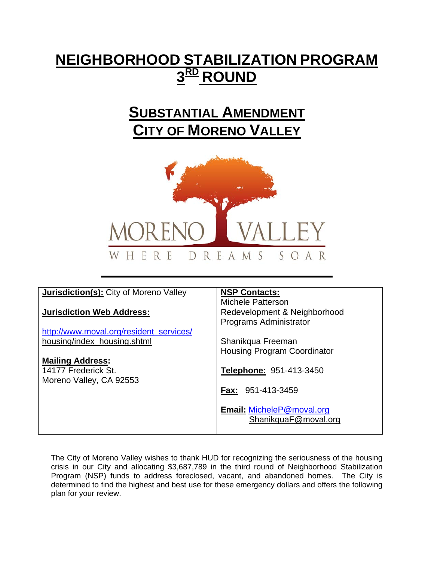# **NEIGHBORHOOD STABILIZATION PROGRAM 3RD ROUND**

### **SUBSTANTIAL AMENDMENT CITY OF MORENO VALLEY**



| <b>Jurisdiction(s):</b> City of Moreno Valley | <b>NSP Contacts:</b>               |
|-----------------------------------------------|------------------------------------|
|                                               | <b>Michele Patterson</b>           |
| <b>Jurisdiction Web Address:</b>              | Redevelopment & Neighborhood       |
|                                               | Programs Administrator             |
| http://www.moval.org/resident services/       |                                    |
| housing/index_housing.shtml                   | Shanikqua Freeman                  |
|                                               | <b>Housing Program Coordinator</b> |
| <b>Mailing Address:</b>                       |                                    |
| 14177 Frederick St.                           | <b>Telephone: 951-413-3450</b>     |
| Moreno Valley, CA 92553                       |                                    |
|                                               | <b>Fax: 951-413-3459</b>           |
|                                               |                                    |
|                                               | Email: MicheleP@moval.org          |
|                                               |                                    |
|                                               | ShanikquaF@moval.org               |
|                                               |                                    |

The City of Moreno Valley wishes to thank HUD for recognizing the seriousness of the housing crisis in our City and allocating \$3,687,789 in the third round of Neighborhood Stabilization Program (NSP) funds to address foreclosed, vacant, and abandoned homes. The City is determined to find the highest and best use for these emergency dollars and offers the following plan for your review.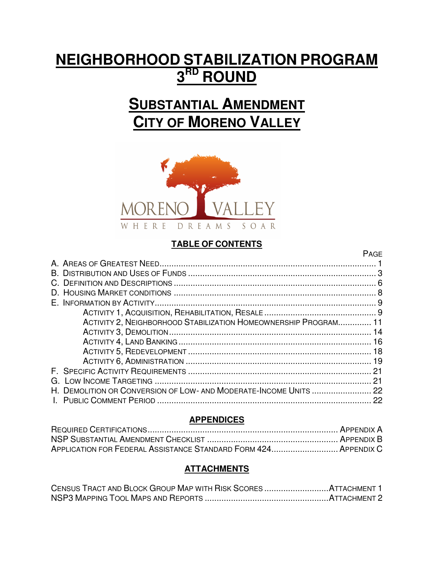# **NEIGHBORHOOD STABILIZATION PROGRAM 3 RD ROUND**

# **SUBSTANTIAL AMENDMENT CITY OF MORENO VALLEY**



#### **TABLE OF CONTENTS**

**PAGE** 

| ACTIVITY 2, NEIGHBORHOOD STABILIZATION HOMEOWNERSHIP PROGRAM 11   |  |
|-------------------------------------------------------------------|--|
|                                                                   |  |
|                                                                   |  |
|                                                                   |  |
|                                                                   |  |
|                                                                   |  |
|                                                                   |  |
| H. DEMOLITION OR CONVERSION OF LOW- AND MODERATE-INCOME UNITS  22 |  |
|                                                                   |  |
|                                                                   |  |

#### **APPENDICES**

| APPLICATION FOR FEDERAL ASSISTANCE STANDARD FORM 424 APPENDIX C |  |
|-----------------------------------------------------------------|--|

#### **ATTACHMENTS**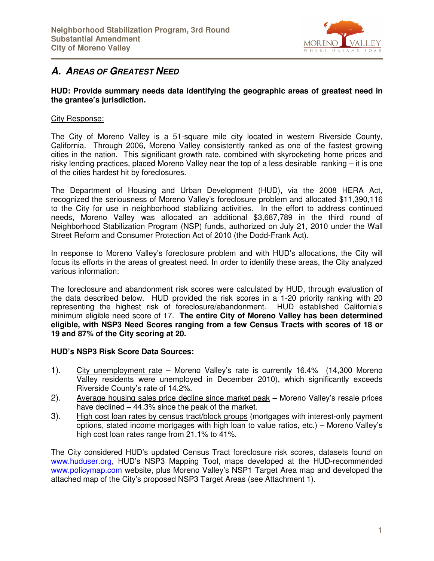

### **A. AREAS OF GREATEST NEED**

#### **HUD: Provide summary needs data identifying the geographic areas of greatest need in the grantee's jurisdiction.**

#### City Response:

The City of Moreno Valley is a 51-square mile city located in western Riverside County, California. Through 2006, Moreno Valley consistently ranked as one of the fastest growing cities in the nation. This significant growth rate, combined with skyrocketing home prices and risky lending practices, placed Moreno Valley near the top of a less desirable ranking – it is one of the cities hardest hit by foreclosures.

The Department of Housing and Urban Development (HUD), via the 2008 HERA Act, recognized the seriousness of Moreno Valley's foreclosure problem and allocated \$11,390,116 to the City for use in neighborhood stabilizing activities. In the effort to address continued needs, Moreno Valley was allocated an additional \$3,687,789 in the third round of Neighborhood Stabilization Program (NSP) funds, authorized on July 21, 2010 under the Wall Street Reform and Consumer Protection Act of 2010 (the Dodd-Frank Act).

In response to Moreno Valley's foreclosure problem and with HUD's allocations, the City will focus its efforts in the areas of greatest need. In order to identify these areas, the City analyzed various information:

The foreclosure and abandonment risk scores were calculated by HUD, through evaluation of the data described below. HUD provided the risk scores in a 1-20 priority ranking with 20 representing the highest risk of foreclosure/abandonment. HUD established California's minimum eligible need score of 17. **The entire City of Moreno Valley has been determined eligible, with NSP3 Need Scores ranging from a few Census Tracts with scores of 18 or 19 and 87% of the City scoring at 20.**

#### **HUD's NSP3 Risk Score Data Sources:**

- 1). City unemployment rate Moreno Valley's rate is currently 16.4% (14,300 Moreno Valley residents were unemployed in December 2010), which significantly exceeds Riverside County's rate of 14.2%.
- 2). Average housing sales price decline since market peak Moreno Valley's resale prices have declined – 44.3% since the peak of the market.
- 3). High cost loan rates by census tract/block groups (mortgages with interest-only payment options, stated income mortgages with high loan to value ratios, etc.) – Moreno Valley's high cost loan rates range from 21.1% to 41%.

The City considered HUD's updated Census Tract foreclosure risk scores, datasets found on www.huduser.org, HUD's NSP3 Mapping Tool, maps developed at the HUD-recommended www.policymap.com website, plus Moreno Valley's NSP1 Target Area map and developed the attached map of the City's proposed NSP3 Target Areas (see Attachment 1).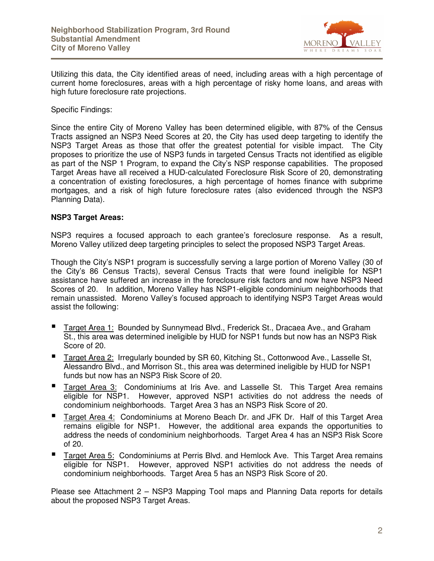

Utilizing this data, the City identified areas of need, including areas with a high percentage of current home foreclosures, areas with a high percentage of risky home loans, and areas with high future foreclosure rate projections.

Specific Findings:

Since the entire City of Moreno Valley has been determined eligible, with 87% of the Census Tracts assigned an NSP3 Need Scores at 20, the City has used deep targeting to identify the NSP3 Target Areas as those that offer the greatest potential for visible impact. The City proposes to prioritize the use of NSP3 funds in targeted Census Tracts not identified as eligible as part of the NSP 1 Program, to expand the City's NSP response capabilities. The proposed Target Areas have all received a HUD-calculated Foreclosure Risk Score of 20, demonstrating a concentration of existing foreclosures, a high percentage of homes finance with subprime mortgages, and a risk of high future foreclosure rates (also evidenced through the NSP3 Planning Data).

#### **NSP3 Target Areas:**

NSP3 requires a focused approach to each grantee's foreclosure response. As a result, Moreno Valley utilized deep targeting principles to select the proposed NSP3 Target Areas.

Though the City's NSP1 program is successfully serving a large portion of Moreno Valley (30 of the City's 86 Census Tracts), several Census Tracts that were found ineligible for NSP1 assistance have suffered an increase in the foreclosure risk factors and now have NSP3 Need Scores of 20. In addition, Moreno Valley has NSP1-eligible condominium neighborhoods that remain unassisted. Moreno Valley's focused approach to identifying NSP3 Target Areas would assist the following:

- Target Area 1: Bounded by Sunnymead Blvd., Frederick St., Dracaea Ave., and Graham St., this area was determined ineligible by HUD for NSP1 funds but now has an NSP3 Risk Score of 20.
- Target Area 2: Irregularly bounded by SR 60, Kitching St., Cottonwood Ave., Lasselle St, Alessandro Blvd., and Morrison St., this area was determined ineligible by HUD for NSP1 funds but now has an NSP3 Risk Score of 20.
- Target Area 3: Condominiums at Iris Ave. and Lasselle St. This Target Area remains eligible for NSP1. However, approved NSP1 activities do not address the needs of condominium neighborhoods. Target Area 3 has an NSP3 Risk Score of 20.
- Target Area 4: Condominiums at Moreno Beach Dr. and JFK Dr. Half of this Target Area remains eligible for NSP1. However, the additional area expands the opportunities to address the needs of condominium neighborhoods. Target Area 4 has an NSP3 Risk Score of 20.
- Target Area 5: Condominiums at Perris Blvd. and Hemlock Ave. This Target Area remains eligible for NSP1. However, approved NSP1 activities do not address the needs of condominium neighborhoods. Target Area 5 has an NSP3 Risk Score of 20.

Please see Attachment 2 – NSP3 Mapping Tool maps and Planning Data reports for details about the proposed NSP3 Target Areas.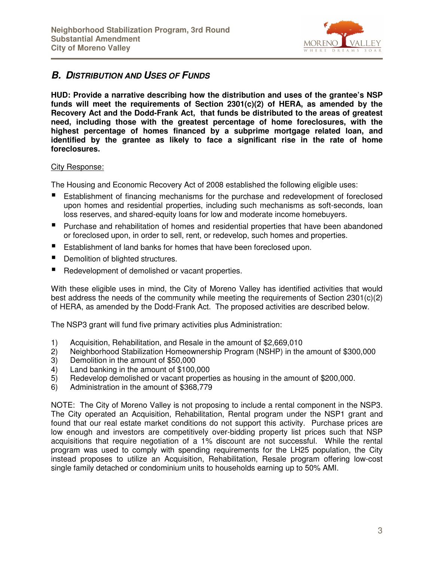

#### **B.** DISTRIBUTION AND USES OF FUNDS

**HUD: Provide a narrative describing how the distribution and uses of the grantee's NSP funds will meet the requirements of Section 2301(c)(2) of HERA, as amended by the Recovery Act and the Dodd-Frank Act, that funds be distributed to the areas of greatest need, including those with the greatest percentage of home foreclosures, with the highest percentage of homes financed by a subprime mortgage related loan, and identified by the grantee as likely to face a significant rise in the rate of home foreclosures.** 

#### City Response:

The Housing and Economic Recovery Act of 2008 established the following eligible uses:

- Establishment of financing mechanisms for the purchase and redevelopment of foreclosed upon homes and residential properties, including such mechanisms as soft-seconds, loan loss reserves, and shared-equity loans for low and moderate income homebuyers.
- **Purchase and rehabilitation of homes and residential properties that have been abandoned** or foreclosed upon, in order to sell, rent, or redevelop, such homes and properties.
- Establishment of land banks for homes that have been foreclosed upon.
- Demolition of blighted structures.
- Redevelopment of demolished or vacant properties.

With these eligible uses in mind, the City of Moreno Valley has identified activities that would best address the needs of the community while meeting the requirements of Section  $2301(c)(2)$ of HERA, as amended by the Dodd-Frank Act. The proposed activities are described below.

The NSP3 grant will fund five primary activities plus Administration:

- 1) Acquisition, Rehabilitation, and Resale in the amount of \$2,669,010
- 2) Neighborhood Stabilization Homeownership Program (NSHP) in the amount of \$300,000
- 3) Demolition in the amount of \$50,000
- 4) Land banking in the amount of \$100,000
- 5) Redevelop demolished or vacant properties as housing in the amount of \$200,000.
- 6) Administration in the amount of \$368,779

NOTE: The City of Moreno Valley is not proposing to include a rental component in the NSP3. The City operated an Acquisition, Rehabilitation, Rental program under the NSP1 grant and found that our real estate market conditions do not support this activity. Purchase prices are low enough and investors are competitively over-bidding property list prices such that NSP acquisitions that require negotiation of a 1% discount are not successful. While the rental program was used to comply with spending requirements for the LH25 population, the City instead proposes to utilize an Acquisition, Rehabilitation, Resale program offering low-cost single family detached or condominium units to households earning up to 50% AMI.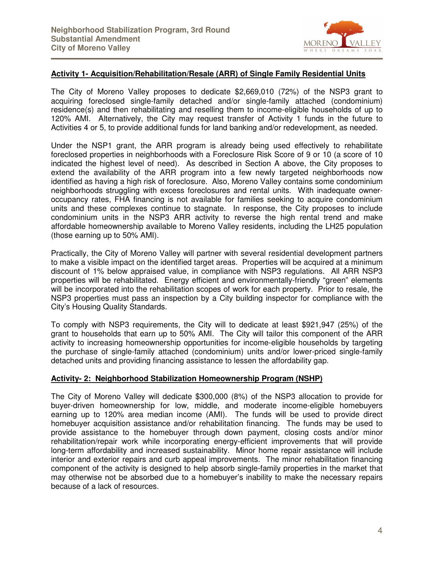

#### **Activity 1- Acquisition/Rehabilitation/Resale (ARR) of Single Family Residential Units**

The City of Moreno Valley proposes to dedicate \$2,669,010 (72%) of the NSP3 grant to acquiring foreclosed single-family detached and/or single-family attached (condominium) residence(s) and then rehabilitating and reselling them to income-eligible households of up to 120% AMI. Alternatively, the City may request transfer of Activity 1 funds in the future to Activities 4 or 5, to provide additional funds for land banking and/or redevelopment, as needed.

Under the NSP1 grant, the ARR program is already being used effectively to rehabilitate foreclosed properties in neighborhoods with a Foreclosure Risk Score of 9 or 10 (a score of 10 indicated the highest level of need). As described in Section A above, the City proposes to extend the availability of the ARR program into a few newly targeted neighborhoods now identified as having a high risk of foreclosure. Also, Moreno Valley contains some condominium neighborhoods struggling with excess foreclosures and rental units. With inadequate owneroccupancy rates, FHA financing is not available for families seeking to acquire condominium units and these complexes continue to stagnate. In response, the City proposes to include condominium units in the NSP3 ARR activity to reverse the high rental trend and make affordable homeownership available to Moreno Valley residents, including the LH25 population (those earning up to 50% AMI).

Practically, the City of Moreno Valley will partner with several residential development partners to make a visible impact on the identified target areas. Properties will be acquired at a minimum discount of 1% below appraised value, in compliance with NSP3 regulations. All ARR NSP3 properties will be rehabilitated. Energy efficient and environmentally-friendly "green" elements will be incorporated into the rehabilitation scopes of work for each property. Prior to resale, the NSP3 properties must pass an inspection by a City building inspector for compliance with the City's Housing Quality Standards.

To comply with NSP3 requirements, the City will to dedicate at least \$921,947 (25%) of the grant to households that earn up to 50% AMI. The City will tailor this component of the ARR activity to increasing homeownership opportunities for income-eligible households by targeting the purchase of single-family attached (condominium) units and/or lower-priced single-family detached units and providing financing assistance to lessen the affordability gap.

#### **Activity- 2: Neighborhood Stabilization Homeownership Program (NSHP)**

The City of Moreno Valley will dedicate \$300,000 (8%) of the NSP3 allocation to provide for buyer-driven homeownership for low, middle, and moderate income-eligible homebuyers earning up to 120% area median income (AMI). The funds will be used to provide direct homebuyer acquisition assistance and/or rehabilitation financing. The funds may be used to provide assistance to the homebuyer through down payment, closing costs and/or minor rehabilitation/repair work while incorporating energy-efficient improvements that will provide long-term affordability and increased sustainability. Minor home repair assistance will include interior and exterior repairs and curb appeal improvements. The minor rehabilitation financing component of the activity is designed to help absorb single-family properties in the market that may otherwise not be absorbed due to a homebuyer's inability to make the necessary repairs because of a lack of resources.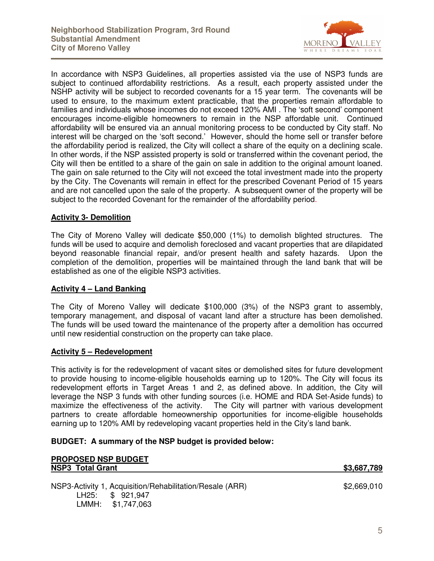

In accordance with NSP3 Guidelines, all properties assisted via the use of NSP3 funds are subject to continued affordability restrictions. As a result, each property assisted under the NSHP activity will be subject to recorded covenants for a 15 year term. The covenants will be used to ensure, to the maximum extent practicable, that the properties remain affordable to families and individuals whose incomes do not exceed 120% AMI . The 'soft second' component encourages income-eligible homeowners to remain in the NSP affordable unit. Continued affordability will be ensured via an annual monitoring process to be conducted by City staff. No interest will be charged on the 'soft second.' However, should the home sell or transfer before the affordability period is realized, the City will collect a share of the equity on a declining scale. In other words, if the NSP assisted property is sold or transferred within the covenant period, the City will then be entitled to a share of the gain on sale in addition to the original amount loaned. The gain on sale returned to the City will not exceed the total investment made into the property by the City. The Covenants will remain in effect for the prescribed Covenant Period of 15 years and are not cancelled upon the sale of the property. A subsequent owner of the property will be subject to the recorded Covenant for the remainder of the affordability period.

#### **Activity 3- Demolition**

The City of Moreno Valley will dedicate \$50,000 (1%) to demolish blighted structures. The funds will be used to acquire and demolish foreclosed and vacant properties that are dilapidated beyond reasonable financial repair, and/or present health and safety hazards. Upon the completion of the demolition, properties will be maintained through the land bank that will be established as one of the eligible NSP3 activities.

#### **Activity 4 – Land Banking**

The City of Moreno Valley will dedicate \$100,000 (3%) of the NSP3 grant to assembly, temporary management, and disposal of vacant land after a structure has been demolished. The funds will be used toward the maintenance of the property after a demolition has occurred until new residential construction on the property can take place.

#### **Activity 5 – Redevelopment**

LMMH: \$1,747,063

This activity is for the redevelopment of vacant sites or demolished sites for future development to provide housing to income-eligible households earning up to 120%. The City will focus its redevelopment efforts in Target Areas 1 and 2, as defined above. In addition, the City will leverage the NSP 3 funds with other funding sources (i.e. HOME and RDA Set-Aside funds) to maximize the effectiveness of the activity. The City will partner with various development partners to create affordable homeownership opportunities for income-eligible households earning up to 120% AMI by redeveloping vacant properties held in the City's land bank.

#### **BUDGET: A summary of the NSP budget is provided below:**

| <b>PROPOSED NSP BUDGET</b>                                                   |             |  |
|------------------------------------------------------------------------------|-------------|--|
| <b>NSP3 Total Grant</b>                                                      | \$3,687,789 |  |
| NSP3-Activity 1, Acquisition/Rehabilitation/Resale (ARR)<br>LH25: \$ 921,947 | \$2,669,010 |  |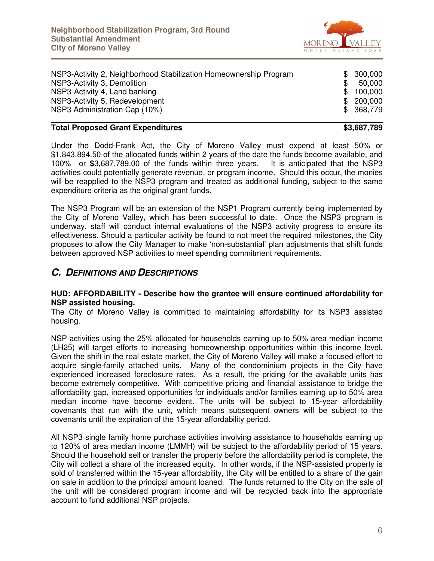

| NSP3-Activity 2, Neighborhood Stabilization Homeownership Program |     | \$300,000  |
|-------------------------------------------------------------------|-----|------------|
| NSP3-Activity 3, Demolition                                       | \$. | 50,000     |
| NSP3-Activity 4, Land banking                                     | \$. | 100,000    |
| NSP3-Activity 5, Redevelopment                                    |     | \$200,000  |
| NSP3 Administration Cap (10%)                                     |     | \$ 368,779 |
|                                                                   |     |            |

#### **Total Proposed Grant Expenditures <b>\$3,687,789 \$3,687,789**

Under the Dodd-Frank Act, the City of Moreno Valley must expend at least 50% or \$1,843,894.50 of the allocated funds within 2 years of the date the funds become available, and 100% or **\$**3,687,789.00 of the funds within three years. It is anticipated that the NSP3 activities could potentially generate revenue, or program income. Should this occur, the monies will be reapplied to the NSP3 program and treated as additional funding, subject to the same expenditure criteria as the original grant funds.

The NSP3 Program will be an extension of the NSP1 Program currently being implemented by the City of Moreno Valley, which has been successful to date. Once the NSP3 program is underway, staff will conduct internal evaluations of the NSP3 activity progress to ensure its effectiveness. Should a particular activity be found to not meet the required milestones, the City proposes to allow the City Manager to make 'non-substantial' plan adjustments that shift funds between approved NSP activities to meet spending commitment requirements.

#### **C. DEFINITIONS AND DESCRIPTIONS**

#### **HUD: AFFORDABILITY - Describe how the grantee will ensure continued affordability for NSP assisted housing.**

The City of Moreno Valley is committed to maintaining affordability for its NSP3 assisted housing.

NSP activities using the 25% allocated for households earning up to 50% area median income (LH25) will target efforts to increasing homeownership opportunities within this income level. Given the shift in the real estate market, the City of Moreno Valley will make a focused effort to acquire single-family attached units. Many of the condominium projects in the City have experienced increased foreclosure rates. As a result, the pricing for the available units has become extremely competitive. With competitive pricing and financial assistance to bridge the affordability gap, increased opportunities for individuals and/or families earning up to 50% area median income have become evident. The units will be subject to 15-year affordability covenants that run with the unit, which means subsequent owners will be subject to the covenants until the expiration of the 15-year affordability period.

All NSP3 single family home purchase activities involving assistance to households earning up to 120% of area median income (LMMH) will be subject to the affordability period of 15 years. Should the household sell or transfer the property before the affordability period is complete, the City will collect a share of the increased equity. In other words, if the NSP-assisted property is sold of transferred within the 15-year affordability, the City will be entitled to a share of the gain on sale in addition to the principal amount loaned. The funds returned to the City on the sale of the unit will be considered program income and will be recycled back into the appropriate account to fund additional NSP projects.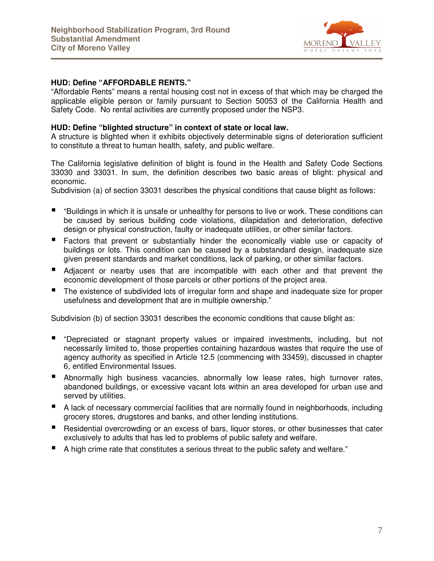

#### **HUD: Define "AFFORDABLE RENTS."**

"Affordable Rents" means a rental housing cost not in excess of that which may be charged the applicable eligible person or family pursuant to Section 50053 of the California Health and Safety Code. No rental activities are currently proposed under the NSP3.

#### **HUD: Define "blighted structure" in context of state or local law.**

A structure is blighted when it exhibits objectively determinable signs of deterioration sufficient to constitute a threat to human health, safety, and public welfare.

The California legislative definition of blight is found in the Health and Safety Code Sections 33030 and 33031. In sum, the definition describes two basic areas of blight: physical and economic.

Subdivision (a) of section 33031 describes the physical conditions that cause blight as follows:

- "Buildings in which it is unsafe or unhealthy for persons to live or work. These conditions can be caused by serious building code violations, dilapidation and deterioration, defective design or physical construction, faulty or inadequate utilities, or other similar factors.
- Factors that prevent or substantially hinder the economically viable use or capacity of buildings or lots. This condition can be caused by a substandard design, inadequate size given present standards and market conditions, lack of parking, or other similar factors.
- Adjacent or nearby uses that are incompatible with each other and that prevent the economic development of those parcels or other portions of the project area.
- The existence of subdivided lots of irregular form and shape and inadequate size for proper usefulness and development that are in multiple ownership."

Subdivision (b) of section 33031 describes the economic conditions that cause blight as:

- "Depreciated or stagnant property values or impaired investments, including, but not necessarily limited to, those properties containing hazardous wastes that require the use of agency authority as specified in Article 12.5 (commencing with 33459), discussed in chapter 6, entitled Environmental Issues.
- Abnormally high business vacancies, abnormally low lease rates, high turnover rates, abandoned buildings, or excessive vacant lots within an area developed for urban use and served by utilities.
- A lack of necessary commercial facilities that are normally found in neighborhoods, including grocery stores, drugstores and banks, and other lending institutions.
- Residential overcrowding or an excess of bars, liquor stores, or other businesses that cater exclusively to adults that has led to problems of public safety and welfare.
- A high crime rate that constitutes a serious threat to the public safety and welfare."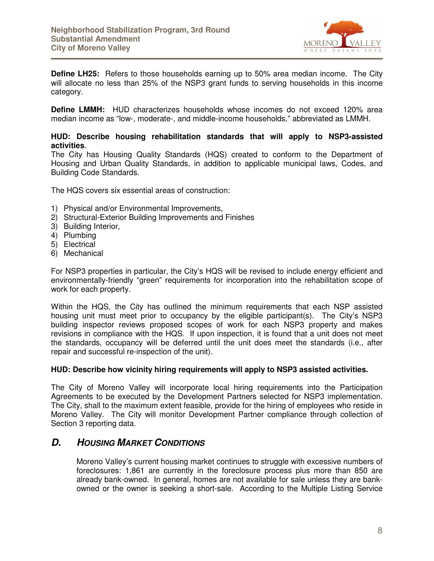

**Define LH25:** Refers to those households earning up to 50% area median income. The City will allocate no less than 25% of the NSP3 grant funds to serving households in this income category.

**Define LMMH:** HUD characterizes households whose incomes do not exceed 120% area median income as "low-, moderate-, and middle-income households," abbreviated as LMMH.

#### **HUD: Describe housing rehabilitation standards that will apply to NSP3-assisted activities**.

The City has Housing Quality Standards (HQS) created to conform to the Department of Housing and Urban Quality Standards, in addition to applicable municipal laws, Codes, and Building Code Standards.

The HQS covers six essential areas of construction:

- 1) Physical and/or Environmental Improvements,
- 2) Structural-Exterior Building Improvements and Finishes
- 3) Building Interior,
- 4) Plumbing
- 5) Electrical
- 6) Mechanical

For NSP3 properties in particular, the City's HQS will be revised to include energy efficient and environmentally-friendly "green" requirements for incorporation into the rehabilitation scope of work for each property.

Within the HQS, the City has outlined the minimum requirements that each NSP assisted housing unit must meet prior to occupancy by the eligible participant(s). The City's NSP3 building inspector reviews proposed scopes of work for each NSP3 property and makes revisions in compliance with the HQS. If upon inspection, it is found that a unit does not meet the standards, occupancy will be deferred until the unit does meet the standards (i.e., after repair and successful re-inspection of the unit).

#### **HUD: Describe how vicinity hiring requirements will apply to NSP3 assisted activities.**

The City of Moreno Valley will incorporate local hiring requirements into the Participation Agreements to be executed by the Development Partners selected for NSP3 implementation. The City, shall to the maximum extent feasible, provide for the hiring of employees who reside in Moreno Valley. The City will monitor Development Partner compliance through collection of Section 3 reporting data.

#### **D. HOUSING MARKET CONDITIONS**

Moreno Valley's current housing market continues to struggle with excessive numbers of foreclosures: 1,861 are currently in the foreclosure process plus more than 850 are already bank-owned. In general, homes are not available for sale unless they are bankowned or the owner is seeking a short-sale. According to the Multiple Listing Service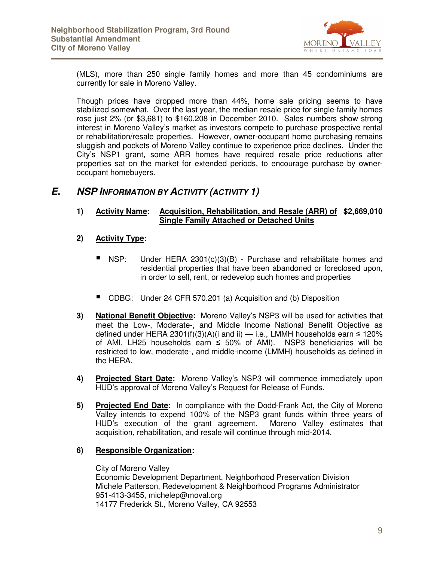

(MLS), more than 250 single family homes and more than 45 condominiums are currently for sale in Moreno Valley.

Though prices have dropped more than 44%, home sale pricing seems to have stabilized somewhat. Over the last year, the median resale price for single-family homes rose just 2% (or \$3,681) to \$160,208 in December 2010. Sales numbers show strong interest in Moreno Valley's market as investors compete to purchase prospective rental or rehabilitation/resale properties. However, owner-occupant home purchasing remains sluggish and pockets of Moreno Valley continue to experience price declines. Under the City's NSP1 grant, some ARR homes have required resale price reductions after properties sat on the market for extended periods, to encourage purchase by owneroccupant homebuyers.

#### **E. NSP INFORMATION BY ACTIVITY (ACTIVITY 1)**

#### **1) Activity Name: Acquisition, Rehabilitation, and Resale (ARR) of \$2,669,010 Single Family Attached or Detached Units**

- **2) Activity Type:** 
	- NSP: Under HERA 2301(c)(3)(B) Purchase and rehabilitate homes and residential properties that have been abandoned or foreclosed upon, in order to sell, rent, or redevelop such homes and properties
	- CDBG: Under 24 CFR 570.201 (a) Acquisition and (b) Disposition
- **3) National Benefit Objective:** Moreno Valley's NSP3 will be used for activities that meet the Low-, Moderate-, and Middle Income National Benefit Objective as defined under HERA 2301(f)(3)(A)(i and ii) — i.e., LMMH households earn ≤ 120% of AMI, LH25 households earn  $\leq$  50% of AMI). NSP3 beneficiaries will be restricted to low, moderate-, and middle-income (LMMH) households as defined in the HERA.
- **4) Projected Start Date:** Moreno Valley's NSP3 will commence immediately upon HUD's approval of Moreno Valley's Request for Release of Funds.
- **5) Projected End Date:** In compliance with the Dodd-Frank Act, the City of Moreno Valley intends to expend 100% of the NSP3 grant funds within three years of HUD's execution of the grant agreement. Moreno Valley estimates that acquisition, rehabilitation, and resale will continue through mid-2014.

#### **6) Responsible Organization:**

City of Moreno Valley Economic Development Department, Neighborhood Preservation Division Michele Patterson, Redevelopment & Neighborhood Programs Administrator 951-413-3455, michelep@moval.org 14177 Frederick St., Moreno Valley, CA 92553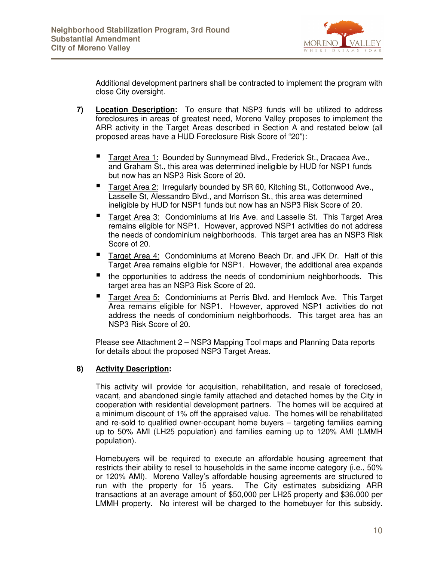

Additional development partners shall be contracted to implement the program with close City oversight.

- **7) Location Description:** To ensure that NSP3 funds will be utilized to address foreclosures in areas of greatest need, Moreno Valley proposes to implement the ARR activity in the Target Areas described in Section A and restated below (all proposed areas have a HUD Foreclosure Risk Score of "20"):
	- Target Area 1: Bounded by Sunnymead Blvd., Frederick St., Dracaea Ave., and Graham St., this area was determined ineligible by HUD for NSP1 funds but now has an NSP3 Risk Score of 20.
	- Target Area 2: Irregularly bounded by SR 60, Kitching St., Cottonwood Ave., Lasselle St, Alessandro Blvd., and Morrison St., this area was determined ineligible by HUD for NSP1 funds but now has an NSP3 Risk Score of 20.
	- Target Area 3: Condominiums at Iris Ave. and Lasselle St. This Target Area remains eligible for NSP1. However, approved NSP1 activities do not address the needs of condominium neighborhoods. This target area has an NSP3 Risk Score of 20.
	- Target Area 4: Condominiums at Moreno Beach Dr. and JFK Dr. Half of this Target Area remains eligible for NSP1. However, the additional area expands
	- the opportunities to address the needs of condominium neighborhoods. This target area has an NSP3 Risk Score of 20.
	- Target Area 5: Condominiums at Perris Blvd. and Hemlock Ave. This Target Area remains eligible for NSP1. However, approved NSP1 activities do not address the needs of condominium neighborhoods. This target area has an NSP3 Risk Score of 20.

Please see Attachment 2 – NSP3 Mapping Tool maps and Planning Data reports for details about the proposed NSP3 Target Areas.

#### **8) Activity Description:**

This activity will provide for acquisition, rehabilitation, and resale of foreclosed, vacant, and abandoned single family attached and detached homes by the City in cooperation with residential development partners. The homes will be acquired at a minimum discount of 1% off the appraised value. The homes will be rehabilitated and re-sold to qualified owner-occupant home buyers – targeting families earning up to 50% AMI (LH25 population) and families earning up to 120% AMI (LMMH population).

Homebuyers will be required to execute an affordable housing agreement that restricts their ability to resell to households in the same income category (i.e., 50% or 120% AMI). Moreno Valley's affordable housing agreements are structured to run with the property for 15 years. The City estimates subsidizing ARR transactions at an average amount of \$50,000 per LH25 property and \$36,000 per LMMH property. No interest will be charged to the homebuyer for this subsidy.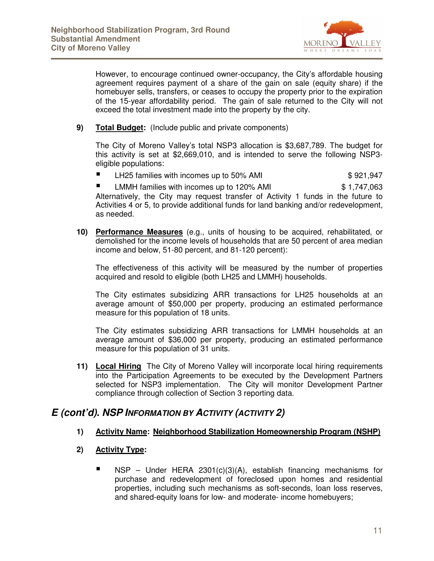

However, to encourage continued owner-occupancy, the City's affordable housing agreement requires payment of a share of the gain on sale (equity share) if the homebuyer sells, transfers, or ceases to occupy the property prior to the expiration of the 15-year affordability period. The gain of sale returned to the City will not exceed the total investment made into the property by the city.

**9) Total Budget:** (Include public and private components)

The City of Moreno Valley's total NSP3 allocation is \$3,687,789. The budget for this activity is set at \$2,669,010, and is intended to serve the following NSP3 eligible populations:

LH25 families with incomes up to 50% AMI  $$921,947$ 

■ LMMH families with incomes up to 120% AMI \$1,747,063 Alternatively, the City may request transfer of Activity 1 funds in the future to Activities 4 or 5, to provide additional funds for land banking and/or redevelopment, as needed.

**10) Performance Measures** (e.g., units of housing to be acquired, rehabilitated, or demolished for the income levels of households that are 50 percent of area median income and below, 51-80 percent, and 81-120 percent):

The effectiveness of this activity will be measured by the number of properties acquired and resold to eligible (both LH25 and LMMH) households.

The City estimates subsidizing ARR transactions for LH25 households at an average amount of \$50,000 per property, producing an estimated performance measure for this population of 18 units.

The City estimates subsidizing ARR transactions for LMMH households at an average amount of \$36,000 per property, producing an estimated performance measure for this population of 31 units.

**11) Local Hiring** The City of Moreno Valley will incorporate local hiring requirements into the Participation Agreements to be executed by the Development Partners selected for NSP3 implementation. The City will monitor Development Partner compliance through collection of Section 3 reporting data.

#### **E (cont'd). NSP INFORMATION BY ACTIVITY (ACTIVITY 2)**

#### **1) Activity Name: Neighborhood Stabilization Homeownership Program (NSHP)**

#### **2) Activity Type:**

NSP – Under HERA 2301(c)(3)(A), establish financing mechanisms for purchase and redevelopment of foreclosed upon homes and residential properties, including such mechanisms as soft-seconds, loan loss reserves, and shared-equity loans for low- and moderate- income homebuyers;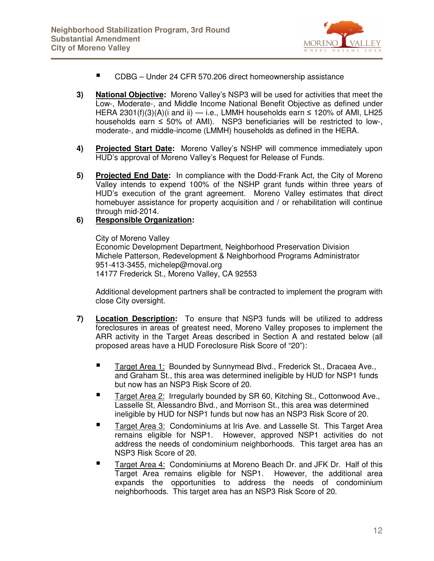

- CDBG Under 24 CFR 570.206 direct homeownership assistance
- **3) National Objective:** Moreno Valley's NSP3 will be used for activities that meet the Low-, Moderate-, and Middle Income National Benefit Objective as defined under HERA 2301(f)(3)(A)(i and ii) — i.e., LMMH households earn  $\leq$  120% of AMI, LH25 households earn ≤ 50% of AMI). NSP3 beneficiaries will be restricted to low-, moderate-, and middle-income (LMMH) households as defined in the HERA.
- **4) Projected Start Date:** Moreno Valley's NSHP will commence immediately upon HUD's approval of Moreno Valley's Request for Release of Funds.
- **5) Projected End Date:** In compliance with the Dodd-Frank Act, the City of Moreno Valley intends to expend 100% of the NSHP grant funds within three years of HUD's execution of the grant agreement. Moreno Valley estimates that direct homebuyer assistance for property acquisition and / or rehabilitation will continue through mid-2014.
- **6) Responsible Organization:**

City of Moreno Valley Economic Development Department, Neighborhood Preservation Division Michele Patterson, Redevelopment & Neighborhood Programs Administrator 951-413-3455, michelep@moval.org 14177 Frederick St., Moreno Valley, CA 92553

Additional development partners shall be contracted to implement the program with close City oversight.

- **7) Location Description:** To ensure that NSP3 funds will be utilized to address foreclosures in areas of greatest need, Moreno Valley proposes to implement the ARR activity in the Target Areas described in Section A and restated below (all proposed areas have a HUD Foreclosure Risk Score of "20"):
	- Target Area 1: Bounded by Sunnymead Blvd., Frederick St., Dracaea Ave., and Graham St., this area was determined ineligible by HUD for NSP1 funds but now has an NSP3 Risk Score of 20.
	- Target Area 2: Irregularly bounded by SR 60, Kitching St., Cottonwood Ave., Lasselle St, Alessandro Blvd., and Morrison St., this area was determined ineligible by HUD for NSP1 funds but now has an NSP3 Risk Score of 20.
	- Target Area 3: Condominiums at Iris Ave. and Lasselle St. This Target Area remains eligible for NSP1. However, approved NSP1 activities do not address the needs of condominium neighborhoods. This target area has an NSP3 Risk Score of 20.
	- Target Area 4: Condominiums at Moreno Beach Dr. and JFK Dr. Half of this Target Area remains eligible for NSP1. However, the additional area expands the opportunities to address the needs of condominium neighborhoods. This target area has an NSP3 Risk Score of 20.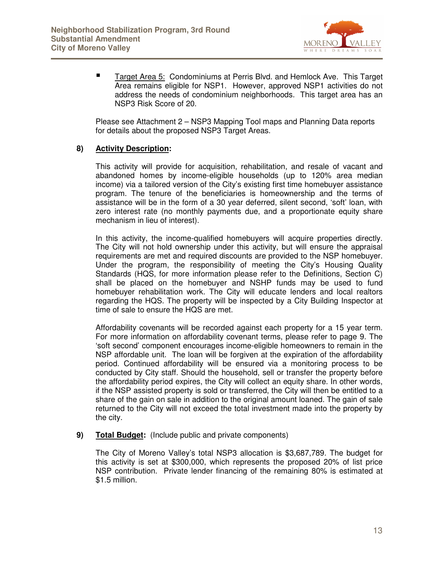

 Target Area 5: Condominiums at Perris Blvd. and Hemlock Ave. This Target Area remains eligible for NSP1. However, approved NSP1 activities do not address the needs of condominium neighborhoods. This target area has an NSP3 Risk Score of 20.

Please see Attachment 2 – NSP3 Mapping Tool maps and Planning Data reports for details about the proposed NSP3 Target Areas.

#### **8) Activity Description:**

This activity will provide for acquisition, rehabilitation, and resale of vacant and abandoned homes by income-eligible households (up to 120% area median income) via a tailored version of the City's existing first time homebuyer assistance program. The tenure of the beneficiaries is homeownership and the terms of assistance will be in the form of a 30 year deferred, silent second, 'soft' loan, with zero interest rate (no monthly payments due, and a proportionate equity share mechanism in lieu of interest).

In this activity, the income-qualified homebuyers will acquire properties directly. The City will not hold ownership under this activity, but will ensure the appraisal requirements are met and required discounts are provided to the NSP homebuyer. Under the program, the responsibility of meeting the City's Housing Quality Standards (HQS, for more information please refer to the Definitions, Section C) shall be placed on the homebuyer and NSHP funds may be used to fund homebuyer rehabilitation work. The City will educate lenders and local realtors regarding the HQS. The property will be inspected by a City Building Inspector at time of sale to ensure the HQS are met.

Affordability covenants will be recorded against each property for a 15 year term. For more information on affordability covenant terms, please refer to page 9. The 'soft second' component encourages income-eligible homeowners to remain in the NSP affordable unit. The loan will be forgiven at the expiration of the affordability period. Continued affordability will be ensured via a monitoring process to be conducted by City staff. Should the household, sell or transfer the property before the affordability period expires, the City will collect an equity share. In other words, if the NSP assisted property is sold or transferred, the City will then be entitled to a share of the gain on sale in addition to the original amount loaned. The gain of sale returned to the City will not exceed the total investment made into the property by the city.

**9) Total Budget:** (Include public and private components)

The City of Moreno Valley's total NSP3 allocation is \$3,687,789. The budget for this activity is set at \$300,000, which represents the proposed 20% of list price NSP contribution. Private lender financing of the remaining 80% is estimated at \$1.5 million.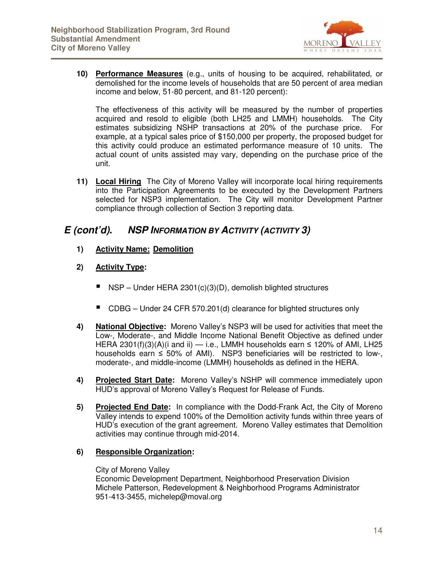

**10) Performance Measures** (e.g., units of housing to be acquired, rehabilitated, or demolished for the income levels of households that are 50 percent of area median income and below, 51-80 percent, and 81-120 percent):

The effectiveness of this activity will be measured by the number of properties acquired and resold to eligible (both LH25 and LMMH) households. The City estimates subsidizing NSHP transactions at 20% of the purchase price. For example, at a typical sales price of \$150,000 per property, the proposed budget for this activity could produce an estimated performance measure of 10 units. The actual count of units assisted may vary, depending on the purchase price of the unit.

**11) Local Hiring** The City of Moreno Valley will incorporate local hiring requirements into the Participation Agreements to be executed by the Development Partners selected for NSP3 implementation. The City will monitor Development Partner compliance through collection of Section 3 reporting data.

#### **E (cont'd). NSP INFORMATION BY ACTIVITY (ACTIVITY 3)**

- **1) Activity Name: Demolition**
- **2) Activity Type:**
	- $\blacksquare$  NSP Under HERA 2301(c)(3)(D), demolish blighted structures
	- CDBG Under 24 CFR 570.201(d) clearance for blighted structures only
- **4) National Objective:** Moreno Valley's NSP3 will be used for activities that meet the Low-, Moderate-, and Middle Income National Benefit Objective as defined under HERA 2301(f)(3)(A)(i and ii) — i.e., LMMH households earn  $\leq$  120% of AMI, LH25 households earn ≤ 50% of AMI). NSP3 beneficiaries will be restricted to low-, moderate-, and middle-income (LMMH) households as defined in the HERA.
- **4) Projected Start Date:** Moreno Valley's NSHP will commence immediately upon HUD's approval of Moreno Valley's Request for Release of Funds.
- **5) Projected End Date:** In compliance with the Dodd-Frank Act, the City of Moreno Valley intends to expend 100% of the Demolition activity funds within three years of HUD's execution of the grant agreement. Moreno Valley estimates that Demolition activities may continue through mid-2014.

#### **6) Responsible Organization:**

City of Moreno Valley Economic Development Department, Neighborhood Preservation Division Michele Patterson, Redevelopment & Neighborhood Programs Administrator 951-413-3455, michelep@moval.org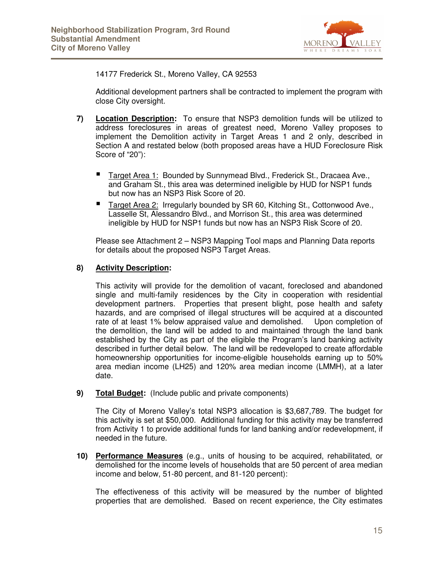

14177 Frederick St., Moreno Valley, CA 92553

Additional development partners shall be contracted to implement the program with close City oversight.

- **7) Location Description:** To ensure that NSP3 demolition funds will be utilized to address foreclosures in areas of greatest need, Moreno Valley proposes to implement the Demolition activity in Target Areas 1 and 2 only, described in Section A and restated below (both proposed areas have a HUD Foreclosure Risk Score of "20"):
	- Target Area 1: Bounded by Sunnymead Blvd., Frederick St., Dracaea Ave., and Graham St., this area was determined ineligible by HUD for NSP1 funds but now has an NSP3 Risk Score of 20.
	- Target Area 2: Irregularly bounded by SR 60, Kitching St., Cottonwood Ave., Lasselle St, Alessandro Blvd., and Morrison St., this area was determined ineligible by HUD for NSP1 funds but now has an NSP3 Risk Score of 20.

Please see Attachment 2 – NSP3 Mapping Tool maps and Planning Data reports for details about the proposed NSP3 Target Areas.

#### **8) Activity Description:**

This activity will provide for the demolition of vacant, foreclosed and abandoned single and multi-family residences by the City in cooperation with residential development partners. Properties that present blight, pose health and safety hazards, and are comprised of illegal structures will be acquired at a discounted rate of at least 1% below appraised value and demolished. Upon completion of the demolition, the land will be added to and maintained through the land bank established by the City as part of the eligible the Program's land banking activity described in further detail below. The land will be redeveloped to create affordable homeownership opportunities for income-eligible households earning up to 50% area median income (LH25) and 120% area median income (LMMH), at a later date.

**9) Total Budget:** (Include public and private components)

The City of Moreno Valley's total NSP3 allocation is \$3,687,789. The budget for this activity is set at \$50,000. Additional funding for this activity may be transferred from Activity 1 to provide additional funds for land banking and/or redevelopment, if needed in the future.

**10) Performance Measures** (e.g., units of housing to be acquired, rehabilitated, or demolished for the income levels of households that are 50 percent of area median income and below, 51-80 percent, and 81-120 percent):

The effectiveness of this activity will be measured by the number of blighted properties that are demolished. Based on recent experience, the City estimates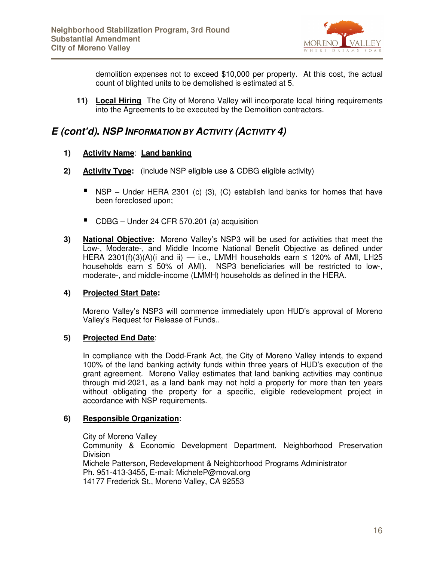

demolition expenses not to exceed \$10,000 per property. At this cost, the actual count of blighted units to be demolished is estimated at 5.

**11) Local Hiring** The City of Moreno Valley will incorporate local hiring requirements into the Agreements to be executed by the Demolition contractors.

#### **E (cont'd). NSP INFORMATION BY ACTIVITY (ACTIVITY 4)**

#### **1) Activity Name**: **Land banking**

- **2) Activity Type:** (include NSP eligible use & CDBG eligible activity)
	- $\blacksquare$  NSP Under HERA 2301 (c) (3), (C) establish land banks for homes that have been foreclosed upon;
	- CDBG Under 24 CFR 570.201 (a) acquisition
- **3) National Objective:** Moreno Valley's NSP3 will be used for activities that meet the Low-, Moderate-, and Middle Income National Benefit Objective as defined under HERA 2301(f)(3)(A)(i and ii) — i.e., LMMH households earn  $\leq$  120% of AMI, LH25 households earn ≤ 50% of AMI). NSP3 beneficiaries will be restricted to low-, moderate-, and middle-income (LMMH) households as defined in the HERA.

#### **4) Projected Start Date:**

Moreno Valley's NSP3 will commence immediately upon HUD's approval of Moreno Valley's Request for Release of Funds..

#### **5) Projected End Date**:

In compliance with the Dodd-Frank Act, the City of Moreno Valley intends to expend 100% of the land banking activity funds within three years of HUD's execution of the grant agreement. Moreno Valley estimates that land banking activities may continue through mid-2021, as a land bank may not hold a property for more than ten years without obligating the property for a specific, eligible redevelopment project in accordance with NSP requirements.

#### **6) Responsible Organization**:

City of Moreno Valley

Community & Economic Development Department, Neighborhood Preservation Division Michele Patterson, Redevelopment & Neighborhood Programs Administrator Ph. 951-413-3455, E-mail: MicheleP@moval.org 14177 Frederick St., Moreno Valley, CA 92553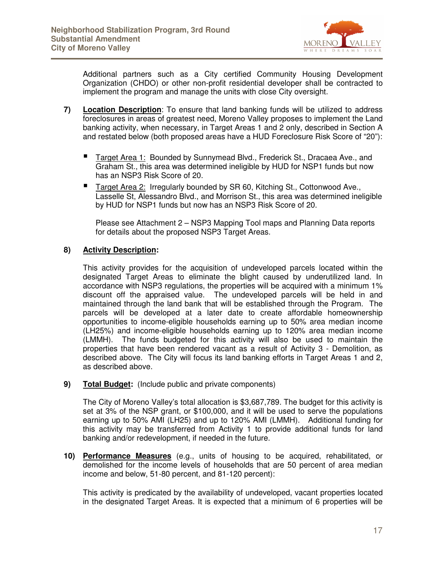

Additional partners such as a City certified Community Housing Development Organization (CHDO) or other non-profit residential developer shall be contracted to implement the program and manage the units with close City oversight.

- **7) Location Description**: To ensure that land banking funds will be utilized to address foreclosures in areas of greatest need, Moreno Valley proposes to implement the Land banking activity, when necessary, in Target Areas 1 and 2 only, described in Section A and restated below (both proposed areas have a HUD Foreclosure Risk Score of "20"):
	- Target Area 1: Bounded by Sunnymead Blvd., Frederick St., Dracaea Ave., and Graham St., this area was determined ineligible by HUD for NSP1 funds but now has an NSP3 Risk Score of 20.
	- Target Area 2: Irregularly bounded by SR 60, Kitching St., Cottonwood Ave., Lasselle St, Alessandro Blvd., and Morrison St., this area was determined ineligible by HUD for NSP1 funds but now has an NSP3 Risk Score of 20.

Please see Attachment 2 – NSP3 Mapping Tool maps and Planning Data reports for details about the proposed NSP3 Target Areas.

#### **8) Activity Description:**

This activity provides for the acquisition of undeveloped parcels located within the designated Target Areas to eliminate the blight caused by underutilized land. In accordance with NSP3 regulations, the properties will be acquired with a minimum 1% discount off the appraised value. The undeveloped parcels will be held in and maintained through the land bank that will be established through the Program. The parcels will be developed at a later date to create affordable homeownership opportunities to income-eligible households earning up to 50% area median income (LH25%) and income-eligible households earning up to 120% area median income (LMMH). The funds budgeted for this activity will also be used to maintain the properties that have been rendered vacant as a result of Activity 3 - Demolition, as described above. The City will focus its land banking efforts in Target Areas 1 and 2, as described above.

**9) Total Budget:** (Include public and private components)

The City of Moreno Valley's total allocation is \$3,687,789. The budget for this activity is set at 3% of the NSP grant, or \$100,000, and it will be used to serve the populations earning up to 50% AMI (LH25) and up to 120% AMI (LMMH). Additional funding for this activity may be transferred from Activity 1 to provide additional funds for land banking and/or redevelopment, if needed in the future.

**10) Performance Measures** (e.g., units of housing to be acquired, rehabilitated, or demolished for the income levels of households that are 50 percent of area median income and below, 51-80 percent, and 81-120 percent):

This activity is predicated by the availability of undeveloped, vacant properties located in the designated Target Areas. It is expected that a minimum of 6 properties will be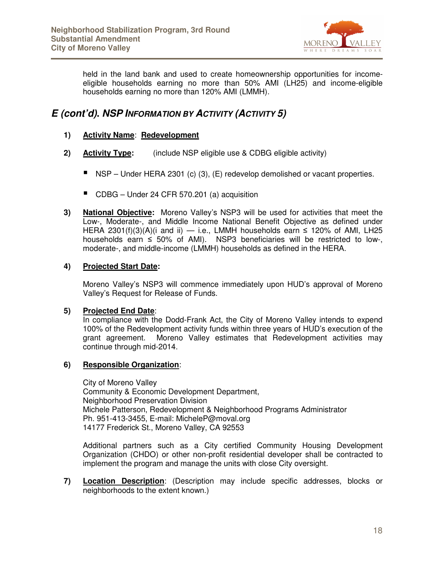

held in the land bank and used to create homeownership opportunities for incomeeligible households earning no more than 50% AMI (LH25) and income-eligible households earning no more than 120% AMI (LMMH).

#### **E (cont'd). NSP INFORMATION BY ACTIVITY (ACTIVITY 5)**

#### **1) Activity Name**: **Redevelopment**

- **2) Activity Type:** (include NSP eligible use & CDBG eligible activity)
	- $\blacksquare$  NSP Under HERA 2301 (c) (3), (E) redevelop demolished or vacant properties.
	- CDBG Under 24 CFR 570.201 (a) acquisition
- **3) National Objective:** Moreno Valley's NSP3 will be used for activities that meet the Low-, Moderate-, and Middle Income National Benefit Objective as defined under HERA 2301(f)(3)(A)(i and ii) — i.e., LMMH households earn  $\leq$  120% of AMI, LH25 households earn  $\leq$  50% of AMI). NSP3 beneficiaries will be restricted to low-, moderate-, and middle-income (LMMH) households as defined in the HERA.

#### **4) Projected Start Date:**

Moreno Valley's NSP3 will commence immediately upon HUD's approval of Moreno Valley's Request for Release of Funds.

#### **5) Projected End Date**:

In compliance with the Dodd-Frank Act, the City of Moreno Valley intends to expend 100% of the Redevelopment activity funds within three years of HUD's execution of the grant agreement. Moreno Valley estimates that Redevelopment activities may continue through mid-2014.

#### **6) Responsible Organization**:

City of Moreno Valley Community & Economic Development Department, Neighborhood Preservation Division Michele Patterson, Redevelopment & Neighborhood Programs Administrator Ph. 951-413-3455, E-mail: MicheleP@moval.org 14177 Frederick St., Moreno Valley, CA 92553

Additional partners such as a City certified Community Housing Development Organization (CHDO) or other non-profit residential developer shall be contracted to implement the program and manage the units with close City oversight.

**7) Location Description**: (Description may include specific addresses, blocks or neighborhoods to the extent known.)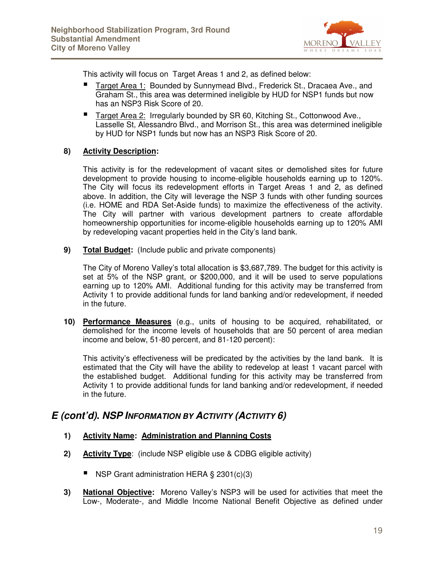

This activity will focus on Target Areas 1 and 2, as defined below:

- Target Area 1: Bounded by Sunnymead Blvd., Frederick St., Dracaea Ave., and Graham St., this area was determined ineligible by HUD for NSP1 funds but now has an NSP3 Risk Score of 20.
- Target Area 2: Irregularly bounded by SR 60, Kitching St., Cottonwood Ave., Lasselle St, Alessandro Blvd., and Morrison St., this area was determined ineligible by HUD for NSP1 funds but now has an NSP3 Risk Score of 20.

#### **8) Activity Description:**

This activity is for the redevelopment of vacant sites or demolished sites for future development to provide housing to income-eligible households earning up to 120%. The City will focus its redevelopment efforts in Target Areas 1 and 2, as defined above. In addition, the City will leverage the NSP 3 funds with other funding sources (i.e. HOME and RDA Set-Aside funds) to maximize the effectiveness of the activity. The City will partner with various development partners to create affordable homeownership opportunities for income-eligible households earning up to 120% AMI by redeveloping vacant properties held in the City's land bank.

**9) Total Budget:** (Include public and private components)

The City of Moreno Valley's total allocation is \$3,687,789. The budget for this activity is set at 5% of the NSP grant, or \$200,000, and it will be used to serve populations earning up to 120% AMI. Additional funding for this activity may be transferred from Activity 1 to provide additional funds for land banking and/or redevelopment, if needed in the future.

**10) Performance Measures** (e.g., units of housing to be acquired, rehabilitated, or demolished for the income levels of households that are 50 percent of area median income and below, 51-80 percent, and 81-120 percent):

This activity's effectiveness will be predicated by the activities by the land bank. It is estimated that the City will have the ability to redevelop at least 1 vacant parcel with the established budget. Additional funding for this activity may be transferred from Activity 1 to provide additional funds for land banking and/or redevelopment, if needed in the future.

#### **E (cont'd). NSP INFORMATION BY ACTIVITY (ACTIVITY 6)**

- **1) Activity Name: Administration and Planning Costs**
- **2) Activity Type**: (include NSP eligible use & CDBG eligible activity)
	- NSP Grant administration HERA § 2301(c)(3)
- **3) National Objective:** Moreno Valley's NSP3 will be used for activities that meet the Low-, Moderate-, and Middle Income National Benefit Objective as defined under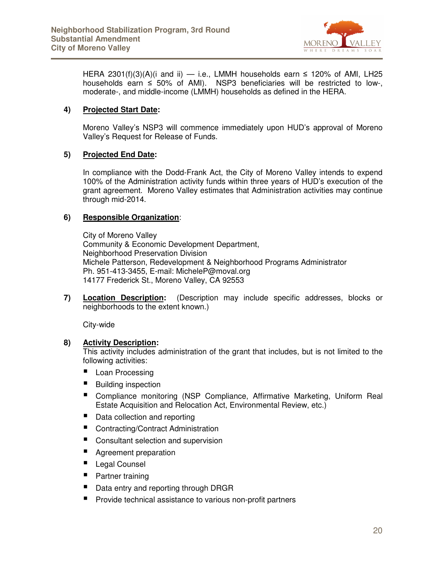

HERA 2301(f)(3)(A)(i and ii) — i.e., LMMH households earn  $\leq$  120% of AMI, LH25 households earn ≤ 50% of AMI). NSP3 beneficiaries will be restricted to low-, moderate-, and middle-income (LMMH) households as defined in the HERA.

#### **4) Projected Start Date:**

Moreno Valley's NSP3 will commence immediately upon HUD's approval of Moreno Valley's Request for Release of Funds.

#### **5) Projected End Date:**

In compliance with the Dodd-Frank Act, the City of Moreno Valley intends to expend 100% of the Administration activity funds within three years of HUD's execution of the grant agreement. Moreno Valley estimates that Administration activities may continue through mid-2014.

#### **6) Responsible Organization**:

City of Moreno Valley Community & Economic Development Department, Neighborhood Preservation Division Michele Patterson, Redevelopment & Neighborhood Programs Administrator Ph. 951-413-3455, E-mail: MicheleP@moval.org 14177 Frederick St., Moreno Valley, CA 92553

**7) Location Description:** (Description may include specific addresses, blocks or neighborhoods to the extent known.)

City-wide

#### **8) Activity Description:**

This activity includes administration of the grant that includes, but is not limited to the following activities:

- **Loan Processing**
- Building inspection
- Compliance monitoring (NSP Compliance, Affirmative Marketing, Uniform Real Estate Acquisition and Relocation Act, Environmental Review, etc.)
- Data collection and reporting
- Contracting/Contract Administration
- Consultant selection and supervision
- **Agreement preparation**
- Legal Counsel
- **Partner training**
- Data entry and reporting through DRGR
- **Perovide technical assistance to various non-profit partners**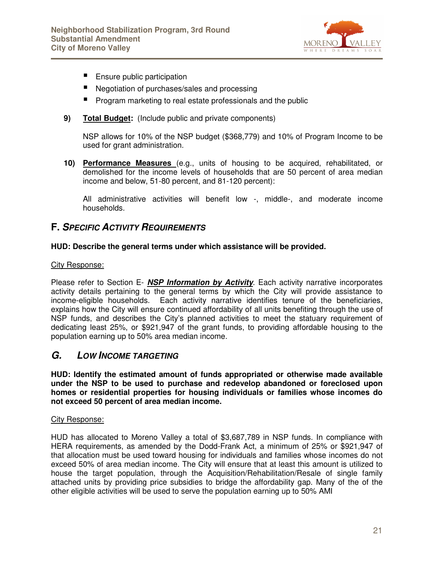

- Ensure public participation
- Negotiation of purchases/sales and processing
- Program marketing to real estate professionals and the public
- **9) Total Budget:** (Include public and private components)

NSP allows for 10% of the NSP budget (\$368,779) and 10% of Program Income to be used for grant administration.

**10) Performance Measures** (e.g., units of housing to be acquired, rehabilitated, or demolished for the income levels of households that are 50 percent of area median income and below, 51-80 percent, and 81-120 percent):

All administrative activities will benefit low -, middle-, and moderate income households.

#### **F. SPECIFIC ACTIVITY REQUIREMENTS**

#### **HUD: Describe the general terms under which assistance will be provided.**

#### City Response:

Please refer to Section E- **NSP Information by Activity**. Each activity narrative incorporates activity details pertaining to the general terms by which the City will provide assistance to income-eligible households. Each activity narrative identifies tenure of the beneficiaries, explains how the City will ensure continued affordability of all units benefiting through the use of NSP funds, and describes the City's planned activities to meet the statuary requirement of dedicating least 25%, or \$921,947 of the grant funds, to providing affordable housing to the population earning up to 50% area median income.

#### **G. LOW INCOME TARGETING**

**HUD: Identify the estimated amount of funds appropriated or otherwise made available under the NSP to be used to purchase and redevelop abandoned or foreclosed upon homes or residential properties for housing individuals or families whose incomes do not exceed 50 percent of area median income.** 

#### City Response:

HUD has allocated to Moreno Valley a total of \$3,687,789 in NSP funds. In compliance with HERA requirements, as amended by the Dodd-Frank Act, a minimum of 25% or \$921,947 of that allocation must be used toward housing for individuals and families whose incomes do not exceed 50% of area median income. The City will ensure that at least this amount is utilized to house the target population, through the Acquisition/Rehabilitation/Resale of single family attached units by providing price subsidies to bridge the affordability gap. Many of the of the other eligible activities will be used to serve the population earning up to 50% AMI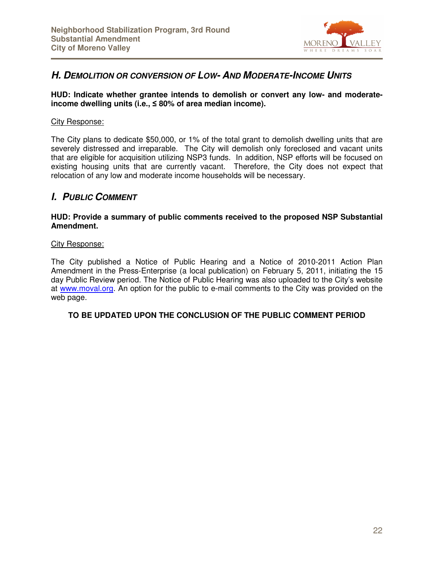

#### **H. DEMOLITION OR CONVERSION OF LOW- AND MODERATE-INCOME UNITS**

#### **HUD: Indicate whether grantee intends to demolish or convert any low- and moderateincome dwelling units (i.e.,** ≤ **80% of area median income).**

#### City Response:

The City plans to dedicate \$50,000, or 1% of the total grant to demolish dwelling units that are severely distressed and irreparable. The City will demolish only foreclosed and vacant units that are eligible for acquisition utilizing NSP3 funds. In addition, NSP efforts will be focused on existing housing units that are currently vacant. Therefore, the City does not expect that relocation of any low and moderate income households will be necessary.

#### **I. PUBLIC COMMENT**

#### **HUD: Provide a summary of public comments received to the proposed NSP Substantial Amendment.**

#### City Response:

The City published a Notice of Public Hearing and a Notice of 2010-2011 Action Plan Amendment in the Press-Enterprise (a local publication) on February 5, 2011, initiating the 15 day Public Review period. The Notice of Public Hearing was also uploaded to the City's website at www.moval.org. An option for the public to e-mail comments to the City was provided on the web page.

#### **TO BE UPDATED UPON THE CONCLUSION OF THE PUBLIC COMMENT PERIOD**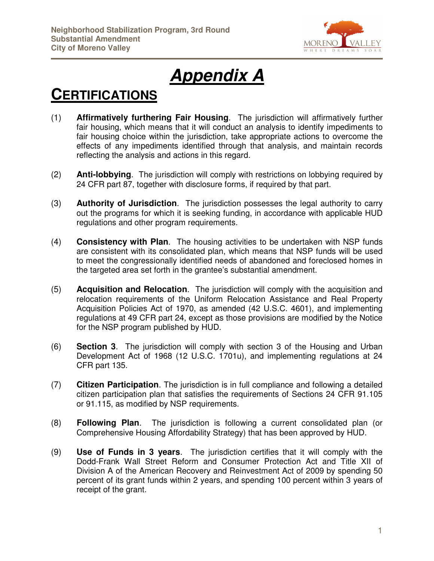

# **Appendix A**

### **CERTIFICATIONS**

L

- (1) **Affirmatively furthering Fair Housing**. The jurisdiction will affirmatively further fair housing, which means that it will conduct an analysis to identify impediments to fair housing choice within the jurisdiction, take appropriate actions to overcome the effects of any impediments identified through that analysis, and maintain records reflecting the analysis and actions in this regard.
- (2) **Anti-lobbying**. The jurisdiction will comply with restrictions on lobbying required by 24 CFR part 87, together with disclosure forms, if required by that part.
- (3) **Authority of Jurisdiction**. The jurisdiction possesses the legal authority to carry out the programs for which it is seeking funding, in accordance with applicable HUD regulations and other program requirements.
- (4) **Consistency with Plan**. The housing activities to be undertaken with NSP funds are consistent with its consolidated plan, which means that NSP funds will be used to meet the congressionally identified needs of abandoned and foreclosed homes in the targeted area set forth in the grantee's substantial amendment.
- (5) **Acquisition and Relocation**. The jurisdiction will comply with the acquisition and relocation requirements of the Uniform Relocation Assistance and Real Property Acquisition Policies Act of 1970, as amended (42 U.S.C. 4601), and implementing regulations at 49 CFR part 24, except as those provisions are modified by the Notice for the NSP program published by HUD.
- (6) **Section 3**. The jurisdiction will comply with section 3 of the Housing and Urban Development Act of 1968 (12 U.S.C. 1701u), and implementing regulations at 24 CFR part 135.
- (7) **Citizen Participation**. The jurisdiction is in full compliance and following a detailed citizen participation plan that satisfies the requirements of Sections 24 CFR 91.105 or 91.115, as modified by NSP requirements.
- (8) **Following Plan**. The jurisdiction is following a current consolidated plan (or Comprehensive Housing Affordability Strategy) that has been approved by HUD.
- (9) **Use of Funds in 3 years**. The jurisdiction certifies that it will comply with the Dodd-Frank Wall Street Reform and Consumer Protection Act and Title XII of Division A of the American Recovery and Reinvestment Act of 2009 by spending 50 percent of its grant funds within 2 years, and spending 100 percent within 3 years of receipt of the grant.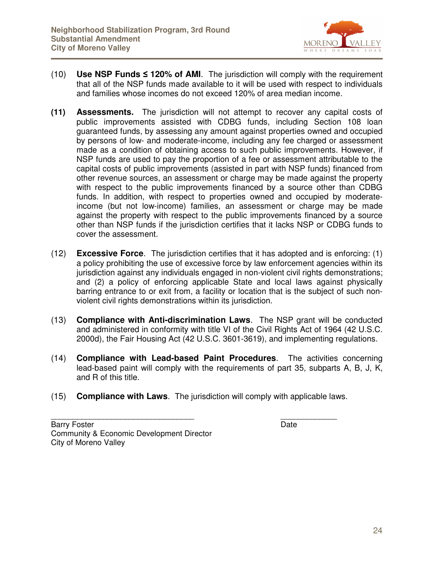

- (10) **Use NSP Funds** ≤ **120% of AMI**. The jurisdiction will comply with the requirement that all of the NSP funds made available to it will be used with respect to individuals and families whose incomes do not exceed 120% of area median income.
- **(11) Assessments.** The jurisdiction will not attempt to recover any capital costs of public improvements assisted with CDBG funds, including Section 108 loan guaranteed funds, by assessing any amount against properties owned and occupied by persons of low- and moderate-income, including any fee charged or assessment made as a condition of obtaining access to such public improvements. However, if NSP funds are used to pay the proportion of a fee or assessment attributable to the capital costs of public improvements (assisted in part with NSP funds) financed from other revenue sources, an assessment or charge may be made against the property with respect to the public improvements financed by a source other than CDBG funds. In addition, with respect to properties owned and occupied by moderateincome (but not low-income) families, an assessment or charge may be made against the property with respect to the public improvements financed by a source other than NSP funds if the jurisdiction certifies that it lacks NSP or CDBG funds to cover the assessment.
- (12) **Excessive Force**. The jurisdiction certifies that it has adopted and is enforcing: (1) a policy prohibiting the use of excessive force by law enforcement agencies within its jurisdiction against any individuals engaged in non-violent civil rights demonstrations; and (2) a policy of enforcing applicable State and local laws against physically barring entrance to or exit from, a facility or location that is the subject of such nonviolent civil rights demonstrations within its jurisdiction.
- (13) **Compliance with Anti-discrimination Laws**. The NSP grant will be conducted and administered in conformity with title VI of the Civil Rights Act of 1964 (42 U.S.C. 2000d), the Fair Housing Act (42 U.S.C. 3601-3619), and implementing regulations.
- (14) **Compliance with Lead-based Paint Procedures**. The activities concerning lead-based paint will comply with the requirements of part 35, subparts A, B, J, K, and R of this title.
- (15) **Compliance with Laws**. The jurisdiction will comply with applicable laws.

Barry Foster **Date** Community & Economic Development Director City of Moreno Valley

\_\_\_\_\_\_\_\_\_\_\_\_\_\_\_\_\_\_\_\_\_\_\_\_\_\_\_\_\_\_\_\_\_ \_\_\_\_\_\_\_\_\_\_\_\_\_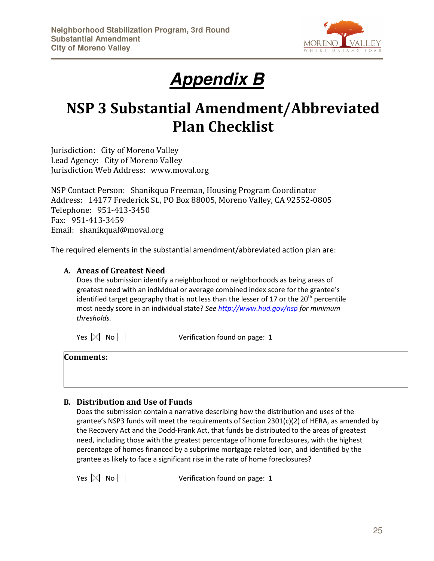

# **Appendix B**

## NSP 3 Substantial Amendment/Abbreviated Plan Checklist

Jurisdiction: City of Moreno Valley Lead Agency: City of Moreno Valley Jurisdiction Web Address: www.moval.org

NSP Contact Person: Shanikqua Freeman, Housing Program Coordinator Address: 14177 Frederick St., PO Box 88005, Moreno Valley, CA 92552-0805 Telephone: 951-413-3450 Fax: 951-413-3459 Email: shanikquaf@moval.org

The required elements in the substantial amendment/abbreviated action plan are:

#### A. Areas of Greatest Need

Does the submission identify a neighborhood or neighborhoods as being areas of greatest need with an individual or average combined index score for the grantee's identified target geography that is not less than the lesser of 17 or the  $20<sup>th</sup>$  percentile most needy score in an individual state? See http://www.hud.gov/nsp for minimum thresholds.

 $Yes \Join No \rightarrow Veerification found on page: 1$ 

| <b>Comments:</b> |  |  |  |
|------------------|--|--|--|
|                  |  |  |  |
|                  |  |  |  |

#### B. Distribution and Use of Funds

Does the submission contain a narrative describing how the distribution and uses of the grantee's NSP3 funds will meet the requirements of Section 2301(c)(2) of HERA, as amended by the Recovery Act and the Dodd-Frank Act, that funds be distributed to the areas of greatest need, including those with the greatest percentage of home foreclosures, with the highest percentage of homes financed by a subprime mortgage related loan, and identified by the grantee as likely to face a significant rise in the rate of home foreclosures?

 $Yes \times No \qquad \qquad \text{Verification found on page: 1}$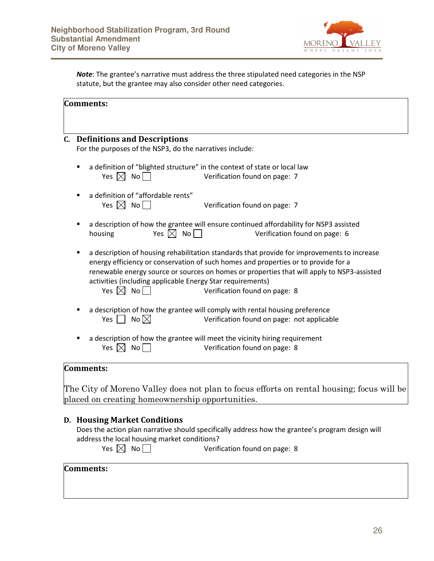

Note: The grantee's narrative must address the three stipulated need categories in the NSP statute, but the grantee may also consider other need categories.

|   | <b>C.</b> Definitions and Descriptions                                                                                                                             |
|---|--------------------------------------------------------------------------------------------------------------------------------------------------------------------|
|   | For the purposes of the NSP3, do the narratives include:                                                                                                           |
|   | a definition of "blighted structure" in the context of state or local law                                                                                          |
|   | Yes $\boxtimes$ No $\Box$<br>Verification found on page: 7                                                                                                         |
|   | a definition of "affordable rents"                                                                                                                                 |
|   | Yes $\boxtimes$ No $\Box$<br>Verification found on page: 7                                                                                                         |
| ٠ | a description of how the grantee will ensure continued affordability for NSP3 assisted                                                                             |
|   | Yes $\boxtimes$ No $\Box$<br>Verification found on page: 6<br>housing                                                                                              |
| ٠ | a description of housing rehabilitation standards that provide for improvements to increase                                                                        |
|   | energy efficiency or conservation of such homes and properties or to provide for a                                                                                 |
|   | renewable energy source or sources on homes or properties that will apply to NSP3-assisted                                                                         |
|   | activities (including applicable Energy Star requirements)                                                                                                         |
|   | Yes $\boxtimes$ No $\Box$<br>Verification found on page: 8                                                                                                         |
|   |                                                                                                                                                                    |
|   |                                                                                                                                                                    |
|   | a description of how the grantee will comply with rental housing preference<br>No $\boxtimes$<br>Yes $\vert \ \vert$<br>Verification found on page: not applicable |
|   | a description of how the grantee will meet the vicinity hiring requirement                                                                                         |

#### D. Housing Market Conditions

placed on creating homeownership opportunities.

Does the action plan narrative should specifically address how the grantee's program design will address the local housing market conditions?<br>Yes  $\boxtimes$  No  $\Box$  Verific

Verification found on page: 8

#### Comments: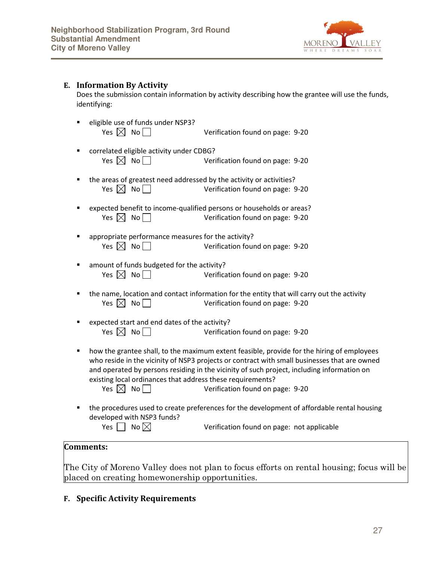

#### E. Information By Activity

Does the submission contain information by activity describing how the grantee will use the funds, identifying:

- eligible use of funds under NSP3?  $Yes \Join No \rightarrow Veriification found on page: 9-20$
- **E** correlated eligible activity under CDBG?  $Yes \nvert X \nvert No \nvert \nvert$  Verification found on page: 9-20
- the areas of greatest need addressed by the activity or activities? Yes  $\boxtimes$  No  $\Box$  Verification found on page: 9-20
- expected benefit to income-qualified persons or households or areas?  $Yes \times No$  No Verification found on page: 9-20
- **E** appropriate performance measures for the activity?  $Yes \n No \n No \n  $\Box$  \n Verification found on page: 9-20$
- **amount of funds budgeted for the activity?**  $Yes \Join No \rightarrow Veriification found on page: 9-20$
- the name, location and contact information for the entity that will carry out the activity  $Yes \Join No \rightarrow Ve}$  No Verification found on page: 9-20
- expected start and end dates of the activity?  $Yes \Join No \rightarrow Veriification found on page: 9-20$
- **•** how the grantee shall, to the maximum extent feasible, provide for the hiring of employees who reside in the vicinity of NSP3 projects or contract with small businesses that are owned and operated by persons residing in the vicinity of such project, including information on existing local ordinances that address these requirements?

 $Yes \Join No \rightarrow Veriification found on page: 9-20$ 

**the procedures used to create preferences for the development of affordable rental housing** developed with NSP3 funds? Yes  $\Box$  No  $\boxtimes$  Verification found on page: not applicable

#### Comments:

The City of Moreno Valley does not plan to focus efforts on rental housing; focus will be placed on creating homewonership opportunities.

#### F. Specific Activity Requirements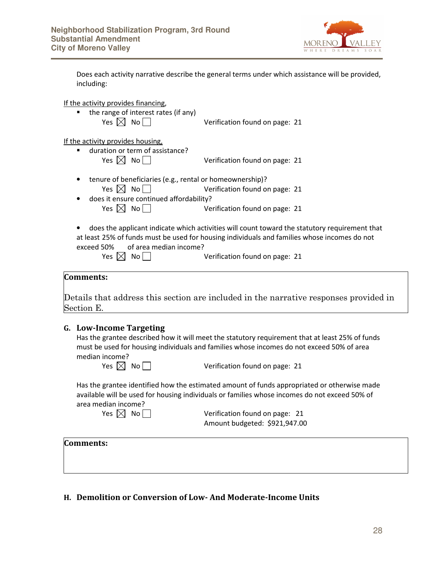

| Does each activity narrative describe the general terms under which assistance will be provided, |
|--------------------------------------------------------------------------------------------------|
| including:                                                                                       |

If the activity provides financing,

• the range of interest rates (if any)  $Yes \Join No \rightarrow Ve}$  Verification found on page: 21

If the activity provides housing,

- duration or term of assistance?  $Yes \Join No \rightarrow Veriification found on page: 21$
- tenure of beneficiaries (e.g., rental or homeownership)? Yes  $\boxtimes$  No  $\Box$  Verification found on page: 21
- does it ensure continued affordability?  $Yes \Join No \rightarrow Ve$  Verification found on page: 21
- does the applicant indicate which activities will count toward the statutory requirement that at least 25% of funds must be used for housing individuals and families whose incomes do not exceed 50% of area median income?

 $Yes \times No$  No Verification found on page: 21

#### Comments:

Details that address this section are included in the narrative responses provided in Section E.

#### G. Low-Income Targeting

Has the grantee described how it will meet the statutory requirement that at least 25% of funds must be used for housing individuals and families whose incomes do not exceed 50% of area median income?

 $Yes \times No$  No Verification found on page: 21

Has the grantee identified how the estimated amount of funds appropriated or otherwise made available will be used for housing individuals or families whose incomes do not exceed 50% of area median income?

 $Yes \times No \quad \text{Ne}$  No Verification found on page: 21 Amount budgeted: \$921,947.00

#### Comments:

#### H. Demolition or Conversion of Low- And Moderate-Income Units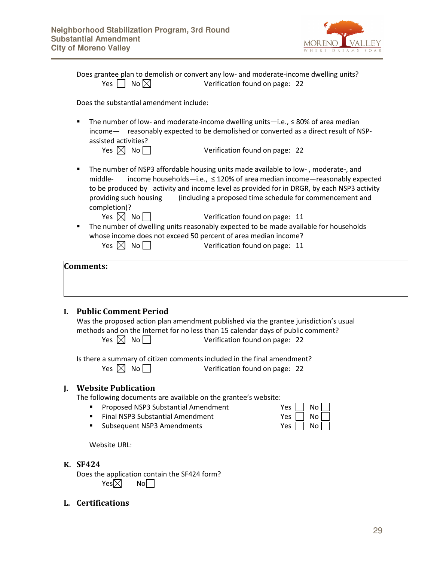

|                | Does grantee plan to demolish or convert any low- and moderate-income dwelling units?<br>No $\boxtimes$<br>Yes  <br>Verification found on page: 22                                                                                                                                                                                                                            |
|----------------|-------------------------------------------------------------------------------------------------------------------------------------------------------------------------------------------------------------------------------------------------------------------------------------------------------------------------------------------------------------------------------|
|                | Does the substantial amendment include:                                                                                                                                                                                                                                                                                                                                       |
| $\blacksquare$ | The number of low- and moderate-income dwelling units-i.e., $\leq 80\%$ of area median<br>income- reasonably expected to be demolished or converted as a direct result of NSP-<br>assisted activities?                                                                                                                                                                        |
|                | Yes $\boxtimes$ No<br>Verification found on page: 22                                                                                                                                                                                                                                                                                                                          |
| ٠              | The number of NSP3 affordable housing units made available to low-, moderate-, and<br>income households-i.e., ≤ 120% of area median income-reasonably expected<br>middle-<br>to be produced by activity and income level as provided for in DRGR, by each NSP3 activity<br>providing such housing<br>(including a proposed time schedule for commencement and<br>completion)? |
|                | Yes $\boxtimes$ No $\Box$<br>Verification found on page: 11                                                                                                                                                                                                                                                                                                                   |
| п              | The number of dwelling units reasonably expected to be made available for households                                                                                                                                                                                                                                                                                          |
|                | whose income does not exceed 50 percent of area median income?                                                                                                                                                                                                                                                                                                                |
|                | Yes $\boxtimes$ No $\Box$<br>Verification found on page: 11                                                                                                                                                                                                                                                                                                                   |
|                | <b>Comments:</b>                                                                                                                                                                                                                                                                                                                                                              |
| L.             | <b>Public Comment Period</b><br>Was the proposed action plan amendment published via the grantee jurisdiction's usual<br>methods and on the Internet for no less than 15 calendar days of public comment?<br>Yes $\boxtimes$ No $\Box$<br>Verification found on page: 22                                                                                                      |
|                | Is there a summary of citizen comments included in the final amendment?<br>No  <br>Yes $\boxtimes$<br>Verification found on page: 22                                                                                                                                                                                                                                          |

#### K. SF424

Does the application contain the SF424 form? Yes $\boxtimes$  No

L. Certifications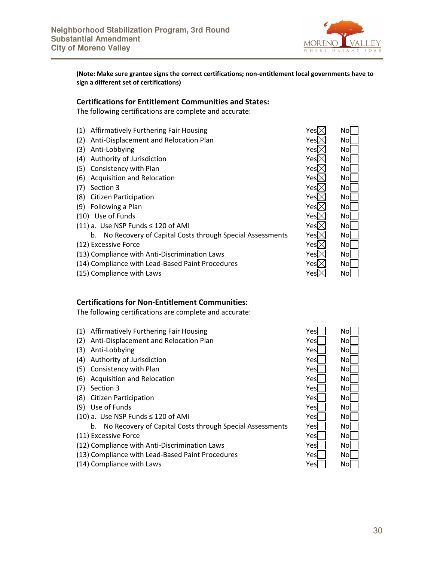

(Note: Make sure grantee signs the correct certifications; non-entitlement local governments have to sign a different set of certifications)

#### Certifications for Entitlement Communities and States:

The following certifications are complete and accurate:

- (1) Affirmatively Furthering Fair Housing
- (2) Anti-Displacement and Relocation Plan
- (3) Anti-Lobbying
- (4) Authority of Jurisdiction
- (5) Consistency with Plan
- (6) Acquisition and Relocation
- $(7)$  Section 3
- (8) Citizen Participation
- (9) Following a Plan
- $(10)$  Use of Funds
- (11) a. Use NSP Funds  $\leq$  120 of AMI
	- b. No Recovery of Capital Costs through Special Assessments
- (12) Excessive Force
- (13) Compliance with Anti-Discrimination Laws
- (14) Compliance with Lead-Based Paint Procedures
- (15) Compliance with Laws

#### Certifications for Non-Entitlement Communities:

The following certifications are complete and accurate:

- (1) Affirmatively Furthering Fair Housing Vestical Affirmatively Furthering Fair Housing
- (2) Anti-Displacement and Relocation Plan Yes North Anti-
- (3) Anti-Lobbying Y
- (4) Authority of Jurisdiction Y
- (5) Consistency with Plan Yes November 1988 and Yes November 1988
- (6) Acquisition and Relocation Version No. 2014
- (7) Section 3 Yes No Section 3
- (8) Citizen Participation Yes November 2014
- (9) Use of Funds Y
- (10) a. Use NSP Funds  $\leq$  120 of AMI Yes November 10 Yes November 2014
	- b. No Recovery of Capital Costs through Special Assessments Y
- (11) Excessive Force Yes November 11 and 2012 12:30 November 2013
- (12) Compliance with Anti-Discrimination Laws Y
- (13) Compliance with Lead-Based Paint Procedures Y
- (14) Compliance with Laws Yes November 14, 1990

| Yes)<br>Yes<br>Yes<br>Yes $\nabla$<br>Yes $\mathcal{D}% _{k}(G)$<br>Yes<br>Yes $\mathcal \Gamma$<br>Yes $\nabla$<br>Yes $\nabla$<br>Yes $\mathcal{D}$<br>Yes<br>Yes<br>Yes<br>Yes<br>Yes $\triangleright$ | No<br>Nol<br>Nol<br>No<br>No<br>Nol<br>Nol<br>No<br>Nol<br>No<br>Nol<br>No<br>No<br>Nol<br>Nol |
|-----------------------------------------------------------------------------------------------------------------------------------------------------------------------------------------------------------|------------------------------------------------------------------------------------------------|
| Yes                                                                                                                                                                                                       | No                                                                                             |
|                                                                                                                                                                                                           |                                                                                                |

| 'es             | No  |
|-----------------|-----|
| $\epsilon$ s    | No  |
| 'es             | No  |
| $\epsilon$ s    | No  |
| 'es             | Nol |
| $\epsilon$ s    | No  |
| 'es             | Nol |
| $\epsilon$ s    | Nol |
| $\epsilon$ s    | No  |
| 'es             | Nol |
| $\epsilon$ s    | No  |
| es              | Nol |
| $\mathsf{es}$   | No  |
| $\epsilon$ s    | No  |
| es <sup>/</sup> | No  |
|                 |     |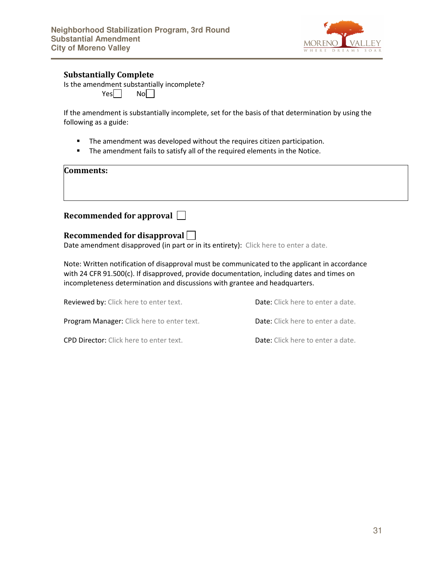

#### Substantially Complete

Is the amendment substantially incomplete?  $Yes \Box$  No

If the amendment is substantially incomplete, set for the basis of that determination by using the following as a guide:

- **The amendment was developed without the requires citizen participation.**
- **The amendment fails to satisfy all of the required elements in the Notice.**

#### Comments:

#### Recommended for approval

#### Recommended for disapproval

Date amendment disapproved (in part or in its entirety): Click here to enter a date.

Note: Written notification of disapproval must be communicated to the applicant in accordance with 24 CFR 91.500(c). If disapproved, provide documentation, including dates and times on incompleteness determination and discussions with grantee and headquarters.

| <b>Reviewed by:</b> Click here to enter text.  | <b>Date:</b> Click here to enter a date. |
|------------------------------------------------|------------------------------------------|
| Program Manager: Click here to enter text.     | <b>Date:</b> Click here to enter a date. |
| <b>CPD Director:</b> Click here to enter text. | <b>Date:</b> Click here to enter a date. |